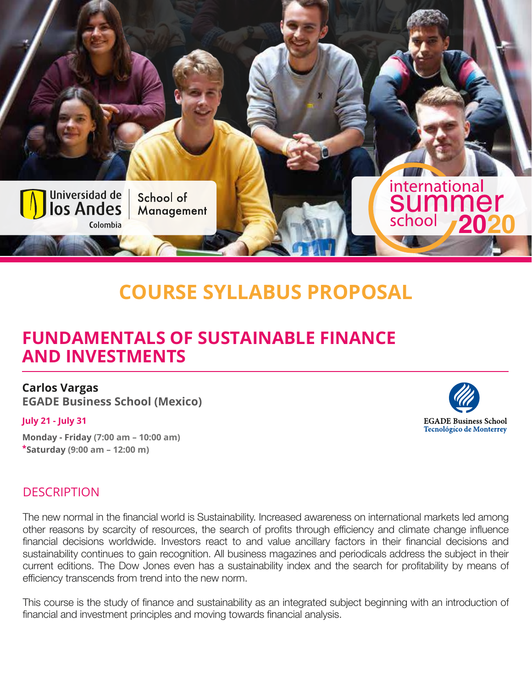

## **COURSE SYLLABUS PROPOSAL**

### **FUNDAMENTALS OF SUSTAINABLE FINANCE AND INVESTMENTS**

### **Carlos Vargas**

**EGADE Business School (Mexico)**

#### **July 21 - July 31**

**Monday - Friday (7:00 am – 10:00 am) \*Saturday (9:00 am – 12:00 m)**

# **EGADE Business School Tecnológico de Monterrey**

#### **DESCRIPTION**

The new normal in the financial world is Sustainability. Increased awareness on international markets led among other reasons by scarcity of resources, the search of profits through efficiency and climate change influence financial decisions worldwide. Investors react to and value ancillary factors in their financial decisions and sustainability continues to gain recognition. All business magazines and periodicals address the subject in their current editions. The Dow Jones even has a sustainability index and the search for profitability by means of efficiency transcends from trend into the new norm.

This course is the study of finance and sustainability as an integrated subject beginning with an introduction of financial and investment principles and moving towards financial analysis.